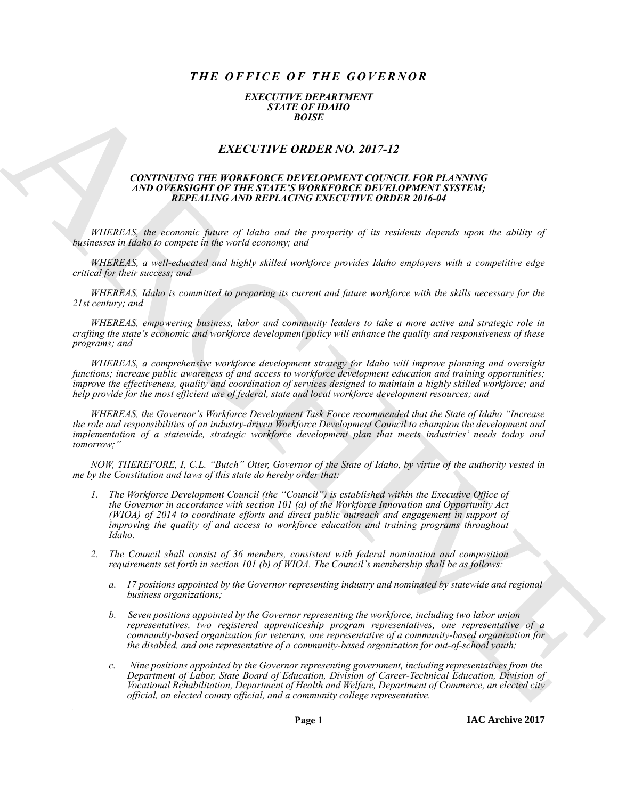## *THE OFFICE OF THE GOVERNOR*

## *EXECUTIVE DEPARTMENT STATE OF IDAHO BOISE*

## *EXECUTIVE ORDER NO. 2017-12*

## *CONTINUING THE WORKFORCE DEVELOPMENT COUNCIL FOR PLANNING AND OVERSIGHT OF THE STATE'S WORKFORCE DEVELOPMENT SYSTEM; REPEALING AND REPLACING EXECUTIVE ORDER 2016-04*

*WHEREAS, the economic future of Idaho and the prosperity of its residents depends upon the ability of businesses in Idaho to compete in the world economy; and*

*WHEREAS, a well-educated and highly skilled workforce provides Idaho employers with a competitive edge critical for their success; and*

*WHEREAS, Idaho is committed to preparing its current and future workforce with the skills necessary for the 21st century; and*

*WHEREAS, empowering business, labor and community leaders to take a more active and strategic role in crafting the state's economic and workforce development policy will enhance the quality and responsiveness of these programs; and*

*WHEREAS, a comprehensive workforce development strategy for Idaho will improve planning and oversight functions; increase public awareness of and access to workforce development education and training opportunities; improve the effectiveness, quality and coordination of services designed to maintain a highly skilled workforce; and help provide for the most efficient use of federal, state and local workforce development resources; and*

*WHEREAS, the Governor's Workforce Development Task Force recommended that the State of Idaho "Increase the role and responsibilities of an industry-driven Workforce Development Council to champion the development and implementation of a statewide, strategic workforce development plan that meets industries' needs today and tomorrow;"*

*NOW, THEREFORE, I, C.L. "Butch" Otter, Governor of the State of Idaho, by virtue of the authority vested in me by the Constitution and laws of this state do hereby order that:*

- **EXACT CHEF CROER NO. 2017-12**<br> **EXACT CHEF CROER NO. 2017-12**<br> **EXACT CHEF CROER NO. 2017-12**<br> **EXACT CHEF CROER NO. 2017-12**<br> **AND OF EVERTIFY ORDER NO. 2017-12**<br> **ARCHIVES THE CROER NO. 2017-12**<br> **ARCHIVES THE CROER NO** *1. The Workforce Development Council (the "Council") is established within the Executive Office of the Governor in accordance with section 101 (a) of the Workforce Innovation and Opportunity Act (WIOA) of 2014 to coordinate efforts and direct public outreach and engagement in support of improving the quality of and access to workforce education and training programs throughout Idaho.*
	- *2. The Council shall consist of 36 members, consistent with federal nomination and composition requirements set forth in section 101 (b) of WIOA. The Council's membership shall be as follows:*
		- *a. 17 positions appointed by the Governor representing industry and nominated by statewide and regional business organizations;*
		- *b. Seven positions appointed by the Governor representing the workforce, including two labor union representatives, two registered apprenticeship program representatives, one representative of a community-based organization for veterans, one representative of a community-based organization for the disabled, and one representative of a community-based organization for out-of-school youth;*
		- *c. Nine positions appointed by the Governor representing government, including representatives from the Department of Labor, State Board of Education, Division of Career-Technical Education, Division of Vocational Rehabilitation, Department of Health and Welfare, Department of Commerce, an elected city official, an elected county official, and a community college representative.*